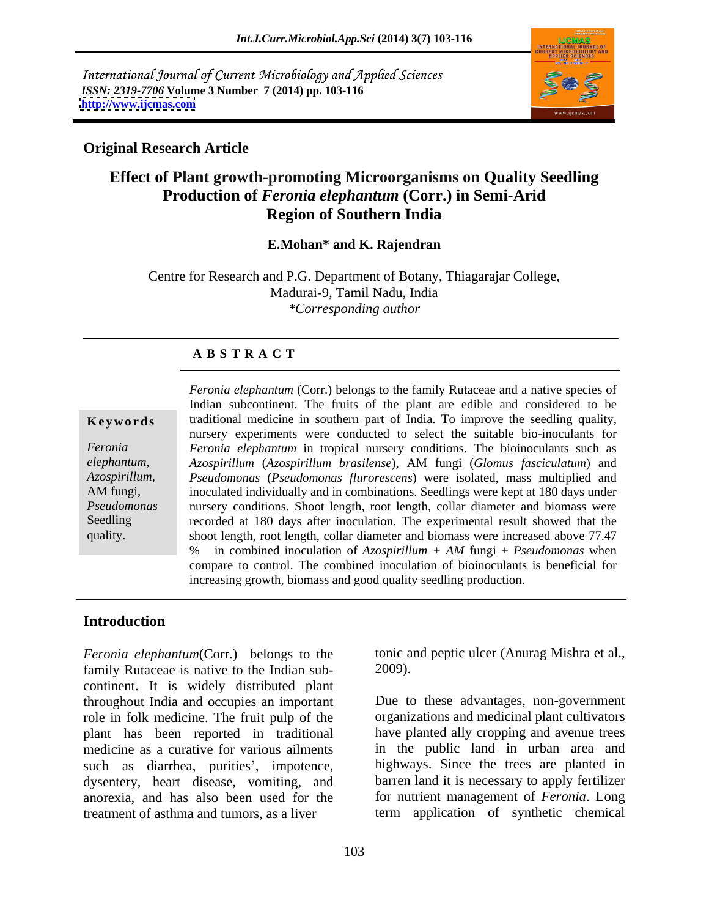International Journal of Current Microbiology and Applied Sciences *ISSN: 2319-7706* **Volume 3 Number 7 (2014) pp. 103-116 <http://www.ijcmas.com>**



### **Original Research Article**

## **Effect of Plant growth-promoting Microorganisms on Quality Seedling Production of** *Feronia elephantum* **(Corr.) in Semi-Arid Region of Southern India**

#### **E.Mohan\* and K. Rajendran**

Centre for Research and P.G. Department of Botany, Thiagarajar College, Madurai-9, Tamil Nadu, India *\*Corresponding author* 

### **A B S T R A C T**

*elephantum*,

**Keywords** traditional medicine in southern part of India. To improve the seedling quality, *Feronia Feronia elephantum* in tropical nursery conditions. The bioinoculants such as *Azospirillum, Pseudomonas* (*Pseudomonas flurorescens*) were isolated, mass multiplied and AM fungi, inoculated individually and in combinations. Seedlings were kept at 180 days under *Pseudomonas* nursery conditions. Shoot length, root length, collar diameter and biomass were Seedling recorded at 180 days after inoculation. The experimental result showed that the quality. shoot length, root length, collar diameter and biomass were increased above 77.47 *Feronia elephantum* (Corr.) belongs to the family Rutaceae and a native species of Indian subcontinent. The fruits of the plant are edible and considered to be nursery experiments were conducted to select the suitable bio-inoculants for *Azospirillum* (*Azospirillum brasilense*), AM fungi (*Glomus fasciculatum*) and % in combined inoculation of *Azospirillum + AM* fungi + *Pseudomonas* when compare to control. The combined inoculation of bioinoculants is beneficial for increasing growth, biomass and good quality seedling production.

### **Introduction**

*Feronia elephantum*(Corr.) belongs to the tonic a family Rutaceae is native to the Indian sub-<br>2009). family Rutaceae is native to the Indian sub continent. It is widely distributed plant throughout India and occupies an important Due to these advantages, non-government role in folk medicine. The fruit pulp of the plant has been reported in traditional medicine as a curative for various ailments such as diarrhea, purities', impotence, dysentery, heart disease, vomiting, and anorexia, and has also been used for the treatment of asthma and tumors, as a liver term application of synthetic chemical

tonic and peptic ulcer (Anurag Mishra et al., 2009).

organizations and medicinal plant cultivators have planted ally cropping and avenue trees in the public land in urban area and highways. Since the trees are planted in barren land it is necessary to apply fertilizer for nutrient management of *Feronia*. Long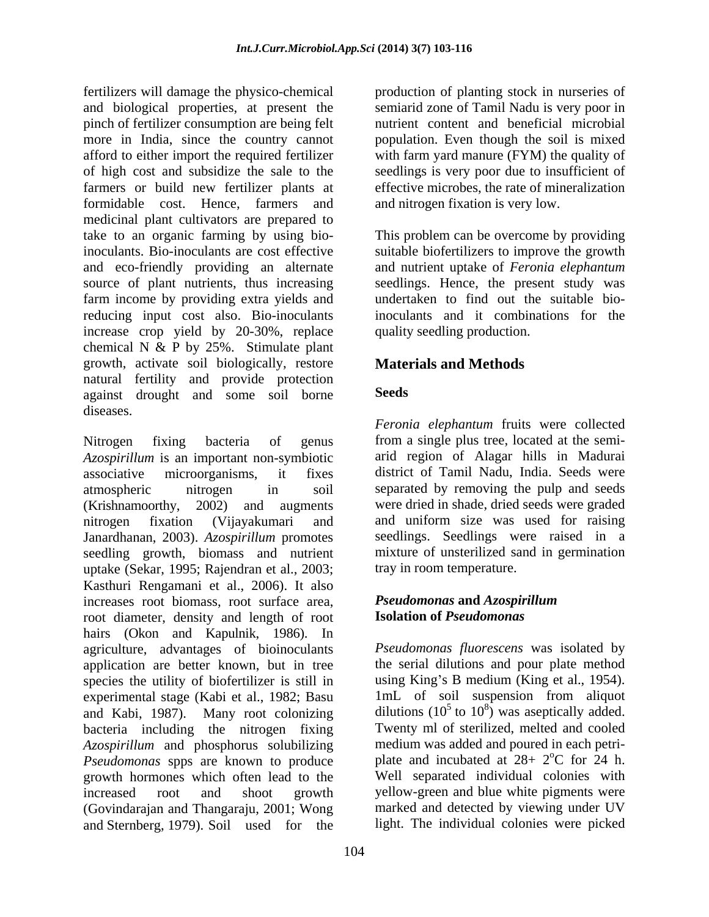fertilizers will damage the physico-chemical production of planting stock in nurseries of and biological properties, at present the semiarid zone of Tamil Nadu is very poor in pinch of fertilizer consumption are being felt more in India, since the country cannot population. Even though the soil is mixed afford to either import the required fertilizer with farm yard manure (FYM) the quality of of high cost and subsidize the sale to the seedlings is very poor due to insufficient of farmers or build new fertilizer plants at effective microbes, the rate of mineralization formidable cost. Hence, farmers and medicinal plant cultivators are prepared to take to an organic farming by using bio-This problem can be overcome by providing inoculants. Bio-inoculants are cost effective suitable biofertilizers to improve the growth and eco-friendly providing an alternate source of plant nutrients, thus increasing seedlings. Hence, the present study was farm income by providing extra yields and reducing input cost also. Bio-inoculants increase crop yield by 20-30%, replace chemical N  $\&$  P by 25%. Stimulate plant growth, activate soil biologically, restore natural fertility and provide protection<br>against drought and some soil borne. against drought and some soil borne diseases.

Nitrogen fixing bacteria of genus from a single plus tree, located at the semi- *Azospirillum* is an important non-symbiotic associative microorganisms, it fixes district of Tamil Nadu, India. Seeds were atmospheric nitrogen in soil separated by removing the pulp and seeds (Krishnamoorthy, 2002) and augments were dried in shade, dried seeds were graded nitrogen fixation (Vijayakumari and and uniform size was used for raising Janardhanan, 2003). *Azospirillum* promotes seedling growth, biomass and nutrient uptake (Sekar, 1995; Rajendran et al., 2003; Kasthuri Rengamani et al., 2006). It also increases root biomass, root surface area, **Pseudomonas and Azospirillum** root diameter, density and length of root hairs (Okon and Kapulnik, 1986). In agriculture, advantages of bioinoculants application are better known, but in tree species the utility of biofertilizer is still in using King's B medium (King et al., 1954).<br>experimental stage (Kabi et al., 1982: Basu 1mL of soil suspension from aliquot experimental stage (Kabi et al., 1982; Basu and Kabi, 1987). Many root colonizing bacteria including the nitrogen fixing *Azospirillum* and phosphorus solubilizing *Pseudomonas* spps are known to produce growth hormones which often lead to the Well separated individual colonies with increased root and shoot growth yellow-green and blue white pigments were (Govindarajan and Thangaraju, 2001; Wong and Sternberg, 1979). Soil used for the

nutrient content and beneficial microbial and nitrogen fixation is very low.

and nutrient uptake of *Feronia elephantum* undertaken to find out the suitable bioinoculants and it combinations for the quality seedling production.

## **Materials and Methods**

### **Seeds**

*Feronia elephantum* fruits were collected arid region of Alagar hills in Madurai seedlings. Seedlings were raised in a mixture of unsterilized sand in germination tray in room temperature.

### *Pseudomonas* **and** *Azospirillum* **Isolation of** *Pseudomonas*

*Pseudomonas fluorescens* was isolated by the serial dilutions and pour plate method using King's B medium (King et al., 1954). 1mL of soil suspension from aliquot dilutions (10<sup>5</sup> to 10<sup>8</sup>) was aseptically added. ) was aseptically added. Twenty ml of sterilized, melted and cooled medium was added and poured in each petri plate and incubated at  $28+2$ °C for 24 h.  $\rm{^{\circ}C}$  for 24 h. marked and detected by viewing under UV light. The individual colonies were picked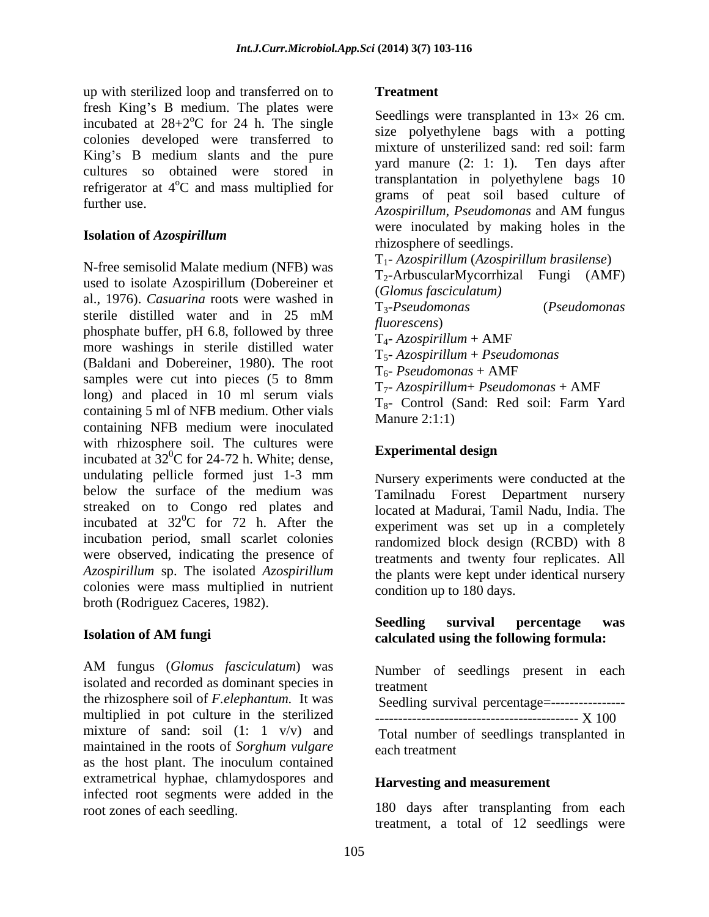up with sterilized loop and transferred on to fresh King's B medium. The plates were incubated at  $28+2$ <sup>o</sup>C for 24 h. The single colonies developed were transferred to King's B medium slants and the pure cultures so obtained were stored in refrigerator at 4<sup>o</sup>C and mass multiplied for

N-free semisolid Malate medium (NFB) was used to isolate Azospirillum (Dobereiner et al., 1976). *Casuarina* roots were washed in  $T_3$ -*Pseudomonas* (*Pseudomonas*) sterile distilled water and in  $25 \text{ mM}$   $\frac{132 \text{ galatonons}}{2}$  (relationships) phosphate buffer, pH 6.8, followed by three<br> $T_{4}$ - Azospirillum + AMF more washings in sterile distilled water (Baldani and Dobereiner, 1980). The root  $\frac{15}{6}$ - *Reudomonas* + AMF samples were cut into pieces (5 to 8mm long) and placed in 10 ml serum vials<br> $T_2^2$ - Control (Sand: Red soil: Farm Yard containing 5 ml of NFB medium. Other vials<br>Manure 2:1:1) containing NFB medium were inoculated with rhizosphere soil. The cultures were<br> **Experimental design** incubated at  $32^0$ C for 24-72 h. White; dense,  ${}^{0}C$  for 24-72 h. White; dense, **Experimental design** undulating pellicle formed just 1-3 mm below the surface of the medium was streaked on to Congo red plates and incubated at  $32^0$ C for 72 h. After the incubation period, small scarlet colonies were observed, indicating the presence of treatments and twenty four replicates. All *Azospirillum* sp. The isolated *Azospirillum* the plants were kept under identical nursery colonies were mass multiplied in nutrient broth (Rodriguez Caceres, 1982).

AM fungus (*Glomus fasciculatum*) was isolated and recorded as dominant species in the rhizosphere soil of *F.elephantum.* It was multiplied in pot culture in the sterilized  $\overline{\phantom{a} \phantom{a}}$   $\overline{\phantom{a} \phantom{a} \phantom{a}}$ mixture of sand: soil  $(1: 1 \text{ v/v})$  and maintained in the roots of *Sorghum vulgare* as the host plant. The inoculum contained extrametrical hyphae, chlamydospores and infected root segments were added in the

#### **Treatment**

 $\degree$ C for 24 h. The single seedlings were transplanted in 15 $\times$  20 cm. <sup>o</sup>C and mass multiplied for<br><sup>o</sup>C and mass multiplied for the companion of post soil based outline of further use.<br>Azospirillum, Pseudomonas and AM fungus **Isolation of** *Azospirillum* extending the *seconding* from the *seconding* seconding the *seconding* Seedlings were transplanted in  $13 \times 26$  cm. size polyethylene bags with a potting mixture of unsterilized sand: red soil: farm yard manure (2: 1: 1). Ten days after transplantation in polyethylene bags 10 grams of peat soil based culture of *Azospirillum*, *Pseudomonas* and AM fungus were inoculated by making holes in the rhizosphere of seedlings. T1- *Azospirillum* (*Azospirillum brasilense*) T2-ArbuscularMycorrhizal Fungi (AMF) (*Glomus fasciculatum)* T3-*Pseudomonas* (*Pseudomonas fluorescens*) T4- *Azospirillum* + AMF T5- *Azospirillum* + *Pseudomonas* T6- *Pseudomonas* + AMF T7- *Azospirillum*+ *Pseudomonas* + AMF T8- Control (Sand: Red soil: Farm Yard

# **Experimental design**

 ${}^{0}C$  for 72 h. After the experiment was set up in a completely Nursery experiments were conducted at the Tamilnadu Forest Department nursery located at Madurai, Tamil Nadu, India. The experiment was set up in a completely randomized block design (RCBD) with 8 condition up to 180 days.

Manure 2:1:1)

#### **Isolation of AM fungi calculated using the following formula: Seedling survival percentage was**

Number of seedlings present in each treatment

Seedling survival percentage=-----------------

Total number of seedlings transplanted in each treatment

#### **Harvesting and measurement**

root zones of each seedling. 180 days after transplanting from each treatment, a total of 12 seedlings were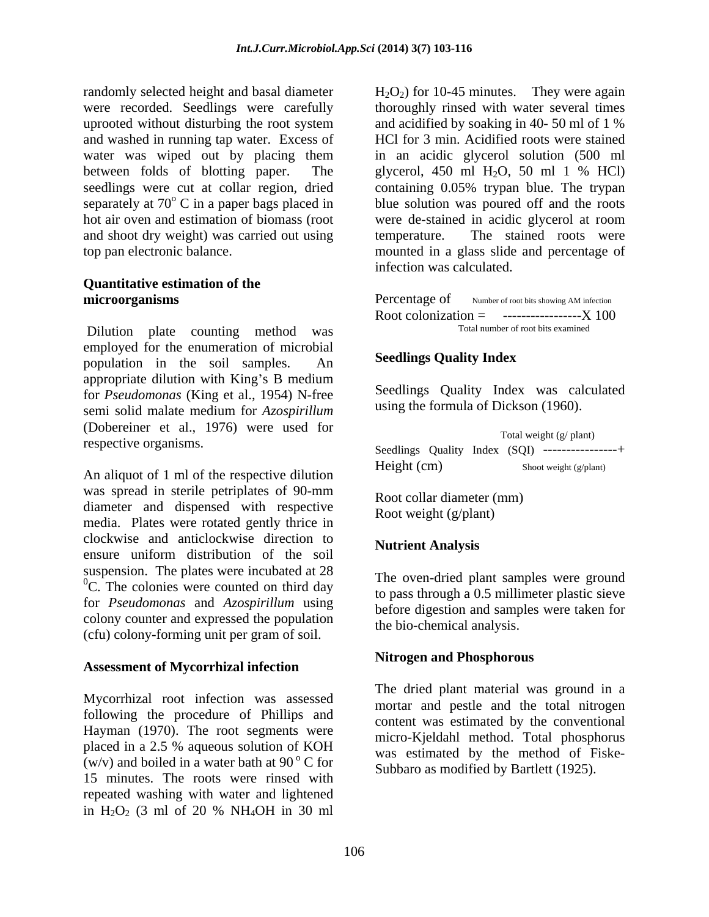randomly selected height and basal diameter  $H_2O_2$  for 10-45 minutes. They were again were recorded. Seedlings were carefully thoroughly rinsed with water several times uprooted without disturbing the root system and acidified by soaking in 40-50 ml of 1 % and washed in running tap water. Excess of HCl for 3 min. Acidified roots were stained water was wiped out by placing them in an acidic glycerol solution (500 ml between folds of blotting paper. The glycerol, 450 ml H2O, 50 ml 1 % HCl) seedlings were cut at collar region, dried containing 0.05% trypan blue. The trypan separately at  $70^{\circ}$  C in a paper bags placed in blue solution was poured off and the roots hot air oven and estimation of biomass (root were de-stained in acidic glycerol at room and shoot dry weight) was carried out using temperature. The stained roots were top pan electronic balance. mounted in a glass slide and percentage of

# **Quantitative estimation of the**

Dilution plate counting method was employed for the enumeration of microbial<br> **Seedlings Ouality Index** population in the soil samples. An appropriate dilution with King's B medium for *Pseudomonas* (King et al., 1954) N-free semi solid malate medium for *Azospirillum* (Dobereiner et al., 1976) were used for

was spread in sterile petriplates of 90-mm<br>Root collar diameter (mm) diameter and dispensed with respective media. Plates were rotated gently thrice in clockwise and anticlockwise direction to ensure uniform distribution of the soil suspension. The plates were incubated at 28  $\rm{^{0}C}$ . The colonies were counted on third day for *Pseudomonas* and *Azospirillum* using colony counter and expressed the population (cfu) colony-forming unit per gram of soil.

#### **Assessment of Mycorrhizal infection**

Mycorrhizal root infection was assessed following the procedure of Phillips and Hayman (1970). The root segments were placed in a 2.5 % aqueous solution of KOH (w/v) and boiled in a water bath at 90 $\degree$ C for 15 minutes. The roots were rinsed with repeated washing with water and lightened in  $H_2O_2$  (3 ml of 20 % NH<sub>4</sub>OH in 30 ml

and acidified by soaking in 40- 50 ml of 1 % temperature. The stained roots were infection was calculated.

**microorganisms** Percentage of Number of root bits showing AM infection Percentage of Number of root bits showing AM infection Root colonization  $=$  ---------------------- X 100 Total number of root bits examined

### **Seedlings Quality Index**

Seedlings Quality Index was calculated using the formula of Dickson (1960).

respective organisms.<br>Seedlings Quality Index (SQI) ---------------+ An aliquot of 1 ml of the respective dilution Height (cm) Shoot weight (g/plant) Total weight (g/ plant) Seedlings Quality Index (SQI) ----------------+<br>Height (cm) Shoot weight (g/plant)

 Root collar diameter (mm) Root weight (g/plant)

#### **Nutrient Analysis**

The oven-dried plant samples were ground to pass through a 0.5 millimeter plastic sieve before digestion and samples were taken for the bio-chemical analysis.

#### **Nitrogen and Phosphorous**

 C for Subbaro as modified by Bartlett (1925).The dried plant material was ground in a mortar and pestle and the total nitrogen content was estimated by the conventional micro-Kjeldahl method. Total phosphorus was estimated by the method of Fiske-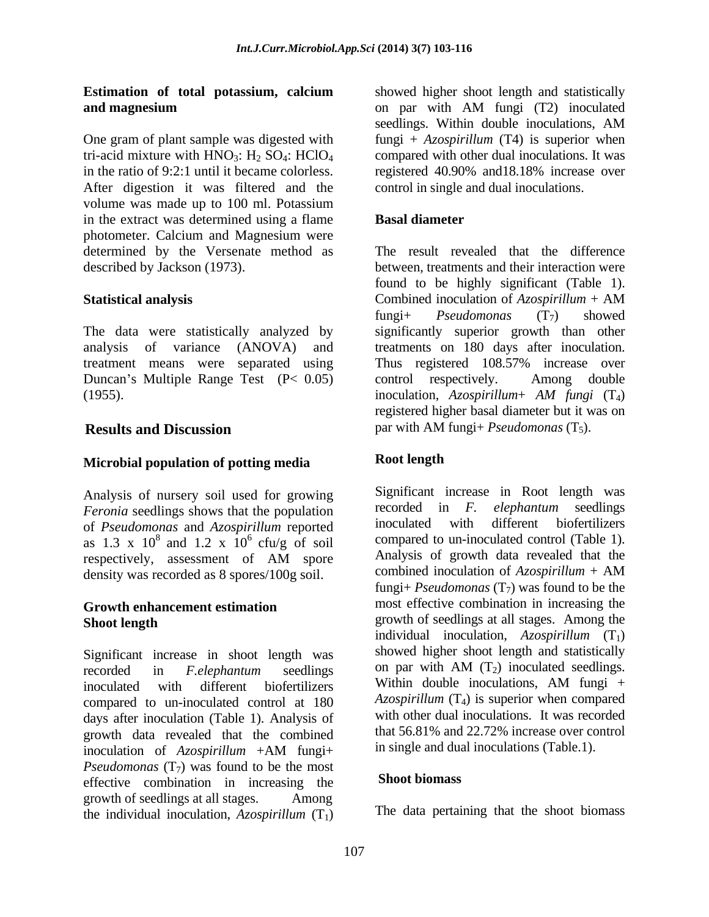# **Estimation of total potassium, calcium**

One gram of plant sample was digested with fungi + *Azospirillum* (T4) is superior when tri-acid mixture with  $HNO_3$ :  $H_2 SO_4$ :  $HClO_4$  compared with other dual inoculations. It was in the ratio of 9:2:1 until it became colorless. registered 40.90% and18.18% increase over After digestion it was filtered and the volume was made up to 100 ml. Potassium in the extract was determined using a flame **Basal diameter** photometer. Calcium and Magnesium were determined by the Versenate method as described by Jackson (1973). between, treatments and their interaction were

The data were statistically analyzed by significantly superior growth than other analysis of variance (ANOVA) and treatments on 180 days after inoculation. treatment means were separated using Thus registered 108.57% increase over Duncan's Multiple Range Test  $(P < 0.05)$  control respectively. Among double

## **Microbial population of potting media**

Analysis of nursery soil used for growing<br> *Eeronia* seedlings shows that the population<br> **Eventual seedlings**<br> **Eventual seedlings** *Feronia* seedlings shows that the population *Feronia* seedlings of *Pseudomonas* and *Azospirillum* reported in *F inoculated* with different biofertilizers of *Pseudomonas* and *Azospirillum* reported as 1.3 x  $10^8$  and 1.2 x  $10^6$  cfu/g of soil density was recorded as 8 spores/100g soil. combined inoculation of Azospirillum + AM

# **Growth enhancement estimation**

Significant increase in shoot length was<br>recorded in  $F$ -elephantum seedlings on par with AM  $(T_2)$  inoculated seedlings. inoculated with different biofertilizers Within double inoculations, AM fungi + compared to un-inoculated control at 180 days after inoculation (Table 1). Analysis of growth data revealed that the combined inoculation of *Azospirillum* +AM fungi+ *Pseudomonas*  $(T_7)$  was found to be the most<br>effective combination in increasing the **Shoot biomass** effective combination in increasing the growth of seedlings at all stages. Among the individual inoculation,  $Azospirillum(T<sub>1</sub>)$ 

**and magnesium** on par with AM fungi (T2) inoculated showed higher shoot length and statistically seedlings. Within double inoculations, AM control in single and dual inoculations.

### **Basal diameter**

**Statistical analysis** Combined inoculation of Azospirillum + AM (1955). inoculation, *Azospirillum*+ *AM fungi* (T4) **Results and Discussion** par with AM fungi+ *Pseudomonas* (T<sub>5</sub>). The result revealed that the difference found to be highly significant (Table 1). Combined inoculation of *Azospirillum* + AM fungi+ *Pseudomonas*  $(T_7)$  showed control respectively. Among double registered higher basal diameter but it was on

### **Root length**

<sup>8</sup> and 1.2 x  $10^6$  cfu/g of soil compared to un-inoculated control (Table 1). respectively, assessment of AM spore Analysis of growth data revealed that the **Shoot length** growth of seedlings at all stages. Among the recorded in *F.elephantum* seedlings Significant increase in Root length was recorded in *F. elephantum* seedlings inoculated with different biofertilizers Analysis of growth data revealed that the combined inoculation of *Azospirillum* + AM fungi+ *Pseudomonas*  $(T_7)$  was found to be the most effective combination in increasing the individual inoculation, *Azospirillum* (T<sub>1</sub>) showed higher shoot length and statistically on par with AM  $(T_2)$  inoculated seedlings. Within double inoculations, AM fungi + *Azospirillum*  $(T_4)$  is superior when compared with other dual inoculations. It was recorded that 56.81% and 22.72% increase over control in single and dual inoculations (Table.1).

### **Shoot biomass**

The data pertaining that the shoot biomass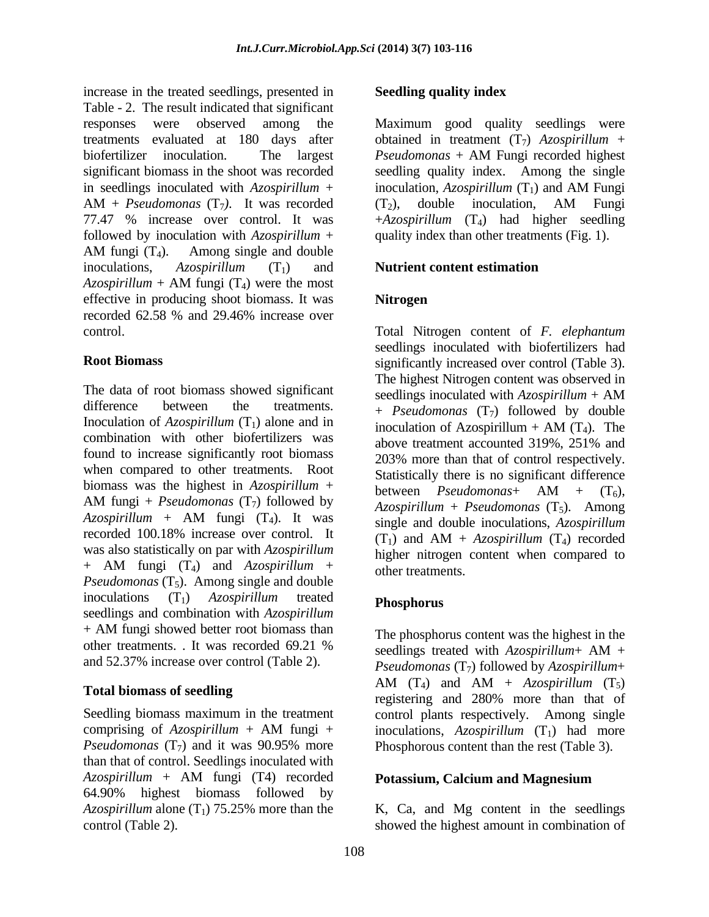increase in the treated seedlings, presented in Seedling quality index Table - 2. The result indicated that significant responses were observed among the Maximum good quality seedlings were treatments evaluated at 180 days after obtained in treatment (T7) *Azospirillum* + biofertilizer inoculation. The largest *Pseudomonas* + AM Fungi recorded highest significant biomass in the shoot was recorded in seedlings inoculated with  $Azospirillum +$  inoculation,  $Azospirillum(T<sub>1</sub>)$  and AM Fungi  $AM + Pseudomonas(T_7)$ . It was recorded  $(T_2)$ , double inoculation, AM Fungi 77.47 % increase over control. It was +*Azospirillum* (T4) had higher seedling followed by inoculation with *Azospirillum* + quality index than other treatments (Fig. 1). AM fungi  $(T_4)$ . Among single and double inoculations, *Azospirillum* (T<sub>1</sub>) and **Nutrient content estimation**  $Azospirillum + AM fungi (T<sub>4</sub>)$  were the most effective in producing shoot biomass. It was recorded 62.58 % and 29.46% increase over

The data of root biomass showed significant seedlings inoculated with  $Azospirillum + AM$ difference between the treatments.  $+$  *Pseudomonas*  $(T_7)$  followed by double Inoculation of  $Azospirillum$  (T<sub>1</sub>) alone and in inoculation of  $Azospirillum + AM$  (T<sub>4</sub>). The combination with other biofertilizers was above treatment accounted 319%, 251% and found to increase significantly root biomass when compared to other treatments. Root biomass was the highest in  $Azospirillum +$  between  $Pseudomonas + AM + (T<sub>6</sub>)$ . AM fungi + *Pseudomonas*  $(T_7)$  followed by  $A_{7}$  *Agospirillum + Pseudomonas*  $(T_5)$  Among  $Azospirillum + AM$  fungi  $(T_4)$ . It was single and double inoculations  $Azospirillum$ recorded 100.18% increase over control. It  $(T_1)$  and  $AM + Azospirillum (T_4)$  recorded was also statistically on par with *Azospirillum*  $+$  AM fungi  $(T_4)$  and  $Azospirillum +$  other treatments *Pseudomonas*  $(T_5)$ . Among single and double inoculations  $(T_1)$  *Azospirillum* treated **Phosphorus** seedlings and combination with *Azospirillum* + AM fungi showed better root biomass than The phosphorus content was the highest in the other treatments. It was recorded  $69.21\%$  seedlings treated with  $Azosnirillum+ AM +$ other treatments. It was recorded 69.21 % seedlings treated with  $Azospirillum + AM +$ <br>and 52.37% increase over control (Table 2).

Seedling biomass maximum in the treatment control plants respectively. Among single comprising of  $Azospirillum + AM$  fungi + inoculations,  $Azospirillum$  (T<sub>1</sub>) had more *Pseudomonas*  $(T_7)$  and it was 90.95% more Phosphorous content than the rest (Table 3). than that of control. Seedlings inoculated with *Azospirillum* + AM fungi (T4) recorded 64.90% highest biomass followed by *Azospirillum* alone  $(T_1)$  75.25% more than the control (Table 2). control (Table 2). showed the highest amount in combination of

#### **Seedling quality index**

*Pseudomonas* + AM Fungi recorded highest seedling quality index. Among the single inoculation, *Azospirillum* (T<sub>1</sub>) and AM Fungi  $(T_2)$ , double inoculation, AM Fungi

#### **Nutrient content estimation**

### **Nitrogen**

control. Total Nitrogen content of *F. elephantum* **Root Biomass** significantly increased over control (Table 3). seedlings inoculated with biofertilizers had The highest Nitrogen content was observed in seedlings inoculated with *Azospirillum* + AM inoculation of Azospirillum  $+$  AM (T<sub>4</sub>). The above treatment accounted 319%, 251% and 203% more than that of control respectively. Statistically there is no significant difference between *Pseudomonas*+  $AM + (T_6)$ , *Azospirillum* + *Pseudomonas* (T5). Among single and double inoculations, *Azospirillum*  $(T_1)$  and AM + *Azospirillum*  $(T_4)$  recorded higher nitrogen content when compared to other treatments.

#### **Phosphorus**

Total biomass of seedling<br>the constant of the second product the second product the second product the second product the second product the second product the second product the second product the second product the secon The phosphorus content was the highest in the seedlings treated with *Azospirillum*+ AM + *Pseudomonas* (T<sub>7</sub>) followed by *Azospirillum*+<br>AM (T<sub>4</sub>) and AM + *Azospirillum* (T<sub>5</sub>) AM  $(T_4)$  and AM + *Azospirillum*  $(T_5)$ registering and 280% more than that of Phosphorous content than the rest (Table 3).

#### **Potassium, Calcium and Magnesium**

K, Ca, and Mg content in the seedlings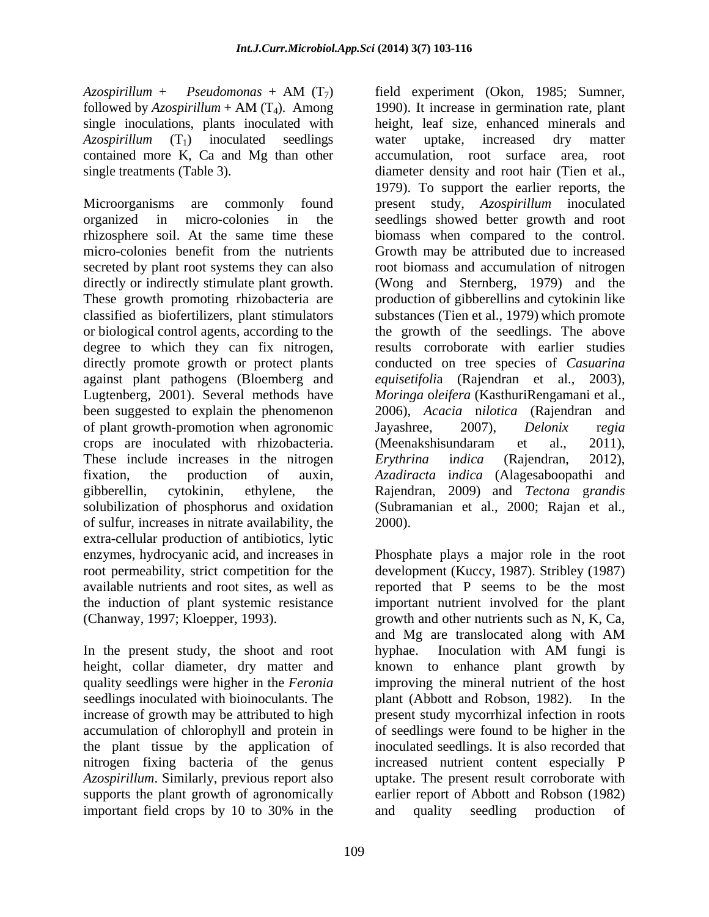*Azospirillum* + *Pseudomonas* + AM (T7) single inoculations, plants inoculated with contained more K, Ca and Mg than other accumulation, root surface area, root

secreted by plant root systems they can also directly or indirectly stimulate plant growth. or biological control agents, according to the of plant growth-promotion when agronomic Jayashree, 2007), Delonix regia crops are inoculated with rhizobacteria. (Meenakshisundaram et al., 2011), These include increases in the nitrogen Erythrina indica (Rajendran, 2012), of sulfur, increases in nitrate availability, the extra-cellular production of antibiotics, lytic the induction of plant systemic resistance

In the present study, the shoot and root by obtained in a loculation with AM fungi is seedlings inoculated with bioinoculants. The plant (Abbott and Robson, 1982). In the increase of growth may be attributed to high

followed by *Azospirillum* + AM (T4). Among 1990). It increase in germination rate, plant *Azospirillum* (T<sub>1</sub>) inoculated seedlings water uptake, increased dry matter single treatments (Table 3). diameter density and root hair (Tien et al., Microorganisms are commonly found present study, *Azospirillum* inoculated organized in micro-colonies in the seedlings showed better growth and root rhizosphere soil. At the same time these biomass when compared to the control. micro-colonies benefit from the nutrients Growth may be attributed due to increased These growth promoting rhizobacteria are production of gibberellins and cytokinin like classified as biofertilizers, plant stimulators substances (Tien et al., 1979) which promote degree to which they can fix nitrogen, results corroborate with earlier studies directly promote growth or protect plants conducted on tree species of *Casuarina*  against plant pathogens (Bloemberg and *equisetifoli*a (Rajendran et al., 2003), Lugtenberg, 2001). Several methods have *Moringa* o*leifera* (KasthuriRengamani et al., been suggested to explain the phenomenon 2006), *Acacia* n*ilotica* (Rajendran and fixation, the production of auxin, *Azadiracta* i*ndica* (Alagesaboopathi and gibberellin, cytokinin, ethylene, the Rajendran, 2009) and *Tectona* g*randis* solubilization of phosphorus and oxidation (Subramanian et al., 2000; Rajan et al., field experiment (Okon, 1985; Sumner, height, leaf size, enhanced minerals and water uptake, increased dry matter accumulation, root surface area, 1979). To support the earlier reports, the root biomass and accumulation of nitrogen (Wong and Sternberg, 1979) and the the growth of the seedlings. The above Jayashree, 2007), *Delonix* r*egia* (Meenakshisundaram et al., 2011), *Erythrina* i*ndica* (Rajendran, 2012), 2000).

enzymes, hydrocyanic acid, and increases in Phosphate plays a major role in the root root permeability, strict competition for the development (Kuccy, 1987). Stribley (1987) available nutrients and root sites, as well as reported that P seems to be the most (Chanway, 1997; Kloepper, 1993). growth and other nutrients such as N, K, Ca, height, collar diameter, dry matter and known to enhance plant growth by quality seedlings were higher in the *Feronia*  improving the mineral nutrient of the host accumulation of chlorophyll and protein in of seedlings were found to be higher in the the plant tissue by the application of inoculated seedlings. It is also recorded that nitrogen fixing bacteria of the genus increased nutrient content especially P *Azospirillum*. Similarly, previous report also uptake. The present result corroborate with supports the plant growth of agronomically earlier report of Abbott and Robson (1982) important field crops by 10 to 30% in the important nutrient involved for the plant and Mg are translocated along with AM hyphae. Inoculation with AM fungi is plant (Abbott and Robson, 1982). present study mycorrhizal infection in roots and quality seedling production of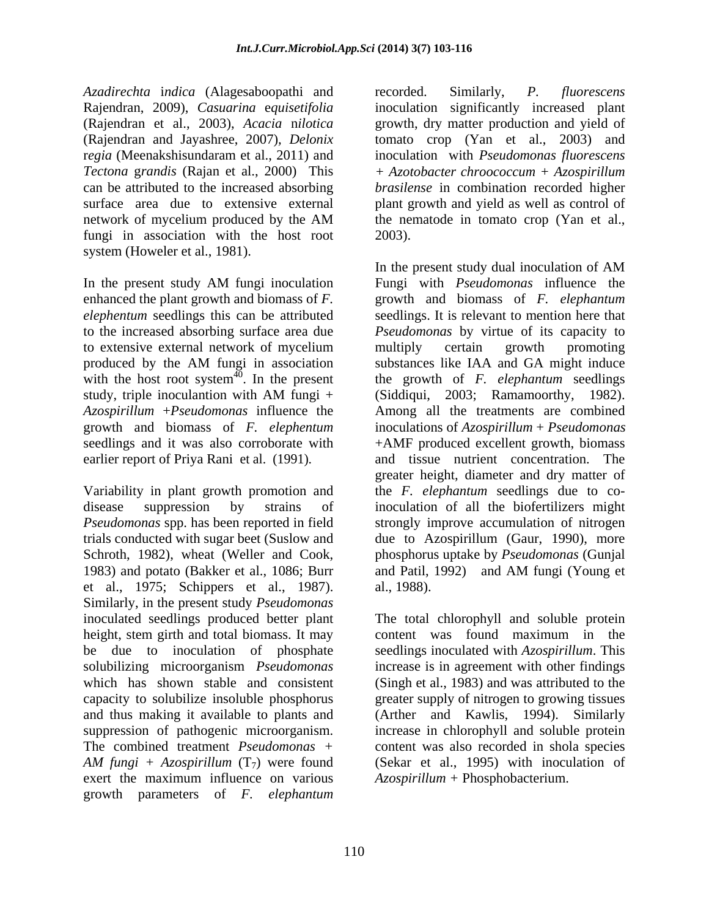*Azadirechta* i*ndica* (Alagesaboopathi and Rajendran, 2009), *Casuarina* e*quisetifolia* fungi in association with the host root 2003). system (Howeler et al., 1981).

to extensive external network of mycelium with the host root system $40$ . In the present *Azospirillum* +*Pseudomonas* influence the

1983) and potato (Bakker et al., 1086; Burr and Patil, 1992) and AM fungi (Young et et al., 1975; Schippers et al., 1987). Similarly, in the present study *Pseudomonas* height, stem girth and total biomass. It may content was found maximum in the The combined treatment *Pseudomonas +* exert the maximum influence on various growth parameters of *F. elephantum*

(Rajendran et al., 2003), *Acacia* n*ilotica* growth, dry matter production and yield of (Rajendran and Jayashree, 2007)*, Delonix*  tomato crop (Yan et al., 2003) and r*egia* (Meenakshisundaram et al., 2011) and inoculation with *Pseudomonas fluorescens Tectona* g*randis* (Rajan et al., 2000) This *+ Azotobacter chroococcum + Azospirillum* can be attributed to the increased absorbing *brasilense* in combination recorded higher surface area due to extensive external plant growth and yield as well as control of network of mycelium produced by the AM the nematode in tomato crop (Yan et al., recorded. Similarly, *P. fluorescens* inoculation significantly increased plant the nematode in tomato crop (Yan et al., 2003).

In the present study AM fungi inoculation Fungi with *Pseudomonas* influence the enhanced the plant growth and biomass of *F.*  growth and biomass of *F. elephantum elephentum* seedlings this can be attributed seedlings. It is relevant to mention here that to the increased absorbing surface area due *Pseudomonas* by virtue of its capacity to produced by the AM fungi in association substances like IAA and GA might induce <sup>40</sup>. In the present the growth of *F. elephantum* seedlings study, triple inoculantion with AM fungi + (Siddiqui, 2003; Ramamoorthy, 1982). growth and biomass of *F. elephentum* inoculations of *Azospirillum* + *Pseudomonas* seedlings and it was also corroborate with +AMF produced excellent growth, biomass earlier report of Priya Rani et al. (1991). and tissue nutrient concentration. The greater height, diameter and dry matter of Variability in plant growth promotion and the *F. elephantum* seedlings due to codisease suppression by strains of inoculation of all the biofertilizers might *Pseudomonas* spp. has been reported in field strongly improve accumulation of nitrogen trials conducted with sugar beet (Suslow and due to Azospirillum (Gaur, 1990), more Schroth, 1982), wheat (Weller and Cook, phosphorus uptake by *Pseudomonas* (Gunjal In the present study dual inoculation of AM Fungi with *Pseudomonas* influence the multiply certain growth promoting (Siddiqui, 2003; Ramamoorthy, 1982). Among all the treatments are combined and tissue nutrient concentration. The greater height, diameter and dry matter of the *F. elephantum* seedlings due to coand Patil, 1992) and AM fungi (Young et al., 1988).

inoculated seedlings produced better plant The total chlorophyll and soluble protein be due to inoculation of phosphate seedlings inoculated with *Azospirillum*. This solubilizing microorganism *Pseudomonas* increase is in agreement with other findings which has shown stable and consistent (Singh et al., 1983) and was attributed to the capacity to solubilize insoluble phosphorus greater supply of nitrogen to growing tissues and thus making it available to plants and (Arther and Kawlis, 1994). Similarly suppression of pathogenic microorganism. increase in chlorophyll and soluble protein *AM fungi + Azospirillum* (T7) were found (Sekar et al., 1995) with inoculation of content was found maximum in the content was also recorded in shola species *Azospirillum +* Phosphobacterium.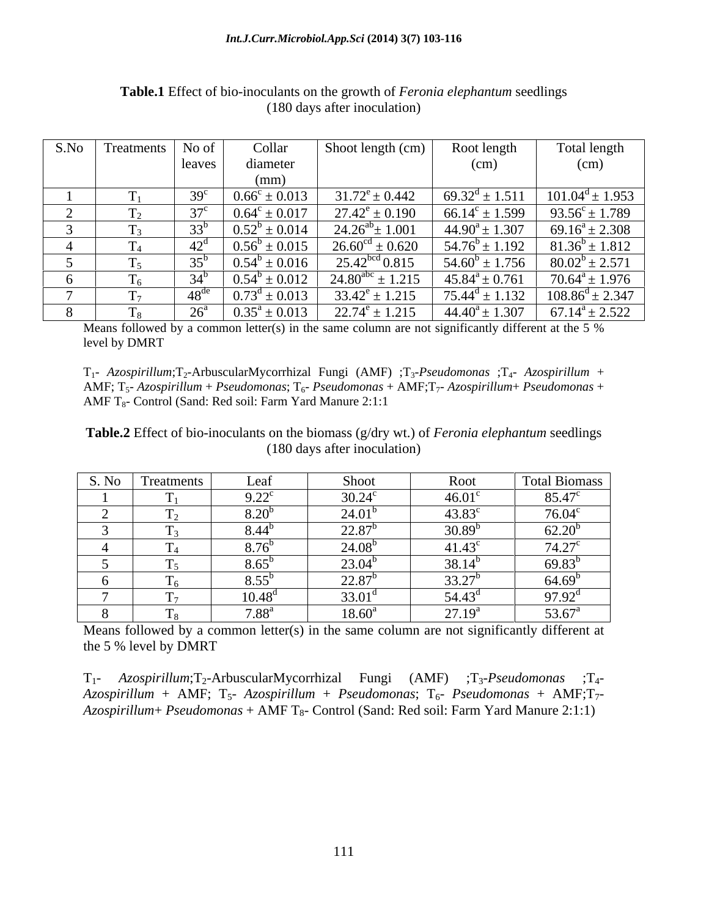| S.No | Treatments | No of           | Collar                            | Shoot length (cm)             | Root length                  | Total length              |
|------|------------|-----------------|-----------------------------------|-------------------------------|------------------------------|---------------------------|
|      |            | leaves          | diameter                          |                               | (cm)                         | (cm)                      |
|      |            |                 | (mm)                              |                               |                              |                           |
|      |            | 39 <sup>°</sup> | $0.66^{\circ} \pm 0.013$          | $31.72^e \pm 0.442$           | $69.32^{\text{d}} \pm 1.511$ | $101.04^d \pm 1.953$      |
|      |            | $37^{\circ}$    | $\sqrt{0.64^c} \pm 0.017$         | $27.42^e \pm 0.190$           | $66.14^c \pm 1.599$          | $93.56^{\circ} \pm 1.789$ |
|      |            | 33 <sup>t</sup> | $\pm$ 0.014<br>$0.52^b$           | $24.26^{ab} \pm 1.001$        | $44.90^a \pm 1.307$          | $69.16^a \pm 2.308$       |
|      |            | $42^{\circ}$    | $\pm 0.015$<br>$0.56^{\circ}$     | $26.60^{\text{cd}} \pm 0.620$ | $54.76^b \pm 1.192$          | $81.36^b \pm 1.812$       |
|      |            | $35^{\circ}$    | $0.54^b \pm 0.016$                | 25.42 <sup>bcd</sup> 0.815    | $54.60^b \pm 1.756$          | $80.02^b \pm 2.571$       |
|      |            | $34^{\circ}$    | $0.54^{b}$<br>$^{\prime}$ ± 0.012 | $24.80^{abc} \pm 1.215$       | $45.84^a \pm 0.761$          | $70.64^a \pm 1.976$       |
|      |            | $48^{\alpha}$   | $\pm 0.013$<br>$0.73^{\circ}$     | $33.42^e \pm 1.215$           | $75.44^d \pm 1.132$          | $108.86^d \pm 2.347$      |
|      |            | $26^{\circ}$    | $0.35^a \pm 0.013$                | $22.74^e \pm 1.215$           | $44.40^a \pm 1.307$          | $67.14^a \pm 2.522$       |

**Table.1** Effect of bio-inoculants on the growth of *Feronia elephantum* seedlings (180 days after inoculation)

Means followed by a common letter(s) in the same column are not significantly different at the 5 % level by DMRT

T1- *Azospirillum*;T2-ArbuscularMycorrhizal Fungi (AMF) ;T3-*Pseudomonas* ;T4- *Azospirillum* + AMF; T5- *Azospirillum* + *Pseudomonas*; T6- *Pseudomonas* + AMF;T7- *Azospirillum*+ *Pseudomonas* + AMF  $T_8$ - Control (Sand: Red soil: Farm Yard Manure 2:1:1)

**Table.2** Effect of bio-inoculants on the biomass (g/dry wt.) of *Feronia elephantum* seedlings (180 days after inoculation)

| S. No | Treatments | Leaf                                                                   | Shoot              | Root            | Total Biomass      |
|-------|------------|------------------------------------------------------------------------|--------------------|-----------------|--------------------|
|       |            | $\Omega$ 22 <sup><math>\sigma</math></sup><br>$\overline{\phantom{a}}$ | $30.24^{\circ}$    | $46.01^{\circ}$ | 85.47 <sup>c</sup> |
|       |            | 8.20                                                                   | 24.01 <sup>b</sup> | $43.83^{\circ}$ | $76.04^c$          |
|       |            | $8.44^{\circ}$                                                         | $22.87^b$          | $30.89^{b}$     | $62.20^{b}$        |
|       | $-4$       | 8.76 <sup>t</sup>                                                      | 24.08 <sup>b</sup> | $41.43^c$       | $74.27^{\circ}$    |
|       |            | 8.65                                                                   | $23.04^b$          | $38.14^{b}$     | $69.83^t$          |
|       |            | 8.55                                                                   | $22.87^b$          | $33.27^{b}$     | $64.69^{b}$        |
|       |            | $10.48^{\rm d}$                                                        | $33.01^{\circ}$    | $54.43^{\circ}$ | $97.92^{\text{d}}$ |
|       |            | $7.88^{a}$                                                             | $18.60^{\circ}$    | $27.19^{4}$     | $53.67^{\circ}$    |

Means followed by a common letter(s) in the same column are not significantly different at the 5 % level by DMRT

T1- *Azospirillum*;T2-ArbuscularMycorrhizal Fungi (AMF) ;T3-*Pseudomonas* ;T4-  $Azospirillum + AMF$ ; T<sub>5</sub>-  $Azospirillum + Pseudomonas$ ; T<sub>6</sub>-  $Pseudomonas + AMF$ ; T<sub>7</sub>-*Azospirillum*+ *Pseudomonas* + AMF T<sub>8</sub>- Control (Sand: Red soil: Farm Yard Manure 2:1:1)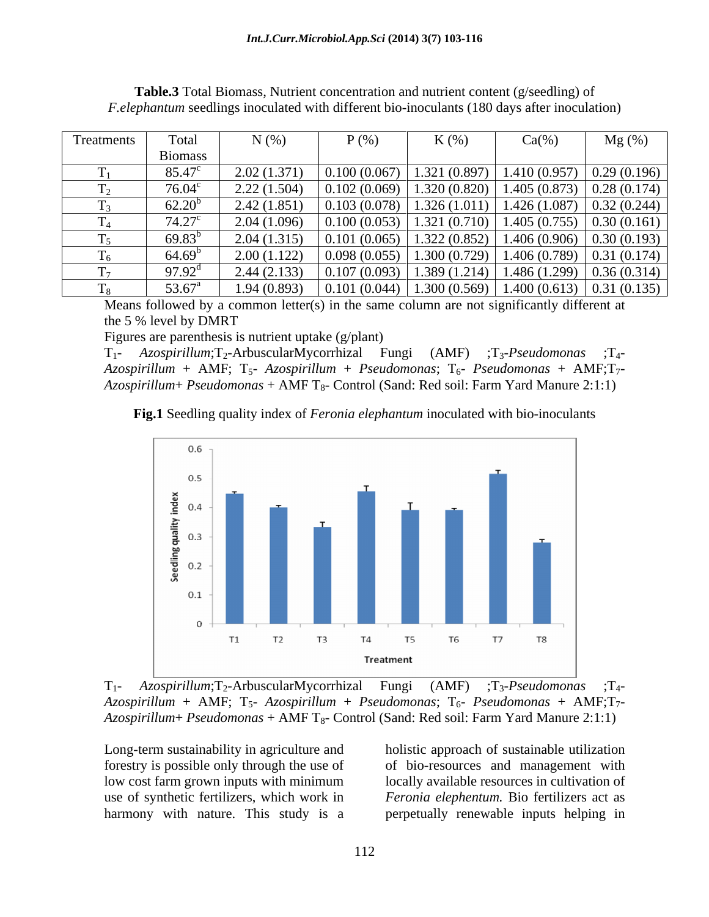| Treatments              | Tota.           | N(% )             | $P$ (%)      | $K(\%)$                      | $Ca(\%)$                       | $Mg(\%)$    |
|-------------------------|-----------------|-------------------|--------------|------------------------------|--------------------------------|-------------|
|                         | <b>Biomass</b>  |                   |              |                              |                                |             |
|                         | $85.47^{\circ}$ | 2.02(1.371)       | 0.100(0.067) | 1.321(0.897)                 | 1.410(0.957)                   | 0.29(0.196) |
| m                       | $76.04^{\circ}$ | 2.22(1.504)       | 0.102(0.069) |                              | $1.320(0.820)$   1.405 (0.873) | 0.28(0.174) |
| m                       | $62.20^{b}$     | 2.42(1.851)       | 0.103(0.078) | 1.326(1.011)                 | 1.426(1.087)                   | 0.32(0.244) |
| $\mathbf{r}$<br>$\pm 4$ | $74.27^{\circ}$ | 1.096)<br>2.04(1) | 0.100(0.053) | 1.321(0.710)                 | 1.405(0.755)                   | 0.30(0.161) |
| $\mathbf{r}$            | $69.83^{b}$     | 2.04(1.315)       | 0.101(0.065) | 1.322(0.852)                 | 1.406(0.906)                   | 0.30(0.193) |
| $\mathbf{r}$<br>16      | $64.69^{\circ}$ | 2.00(1.122)       | 0.098(0.055) | $1.300(0.729)$ 1.406 (0.789) |                                | 0.31(0.174) |
| $\mathbf{r}$            | $97.92^{\circ}$ | 2.44(2.133)       | 0.107(0.093) | 1.389(1.214)                 | 1.486(1.299)                   | 0.36(0.314) |
|                         | $53.67^{\circ}$ | 1.94 (0.893)      | 0.101(0.044) |                              | $1.300(0.569)$   1.400 (0.613) | 0.31(0.135) |

**Table.3** Total Biomass, Nutrient concentration and nutrient content (g/seedling) of *F.elephantum* seedlings inoculated with different bio-inoculants (180 days after inoculation)

Means followed by a common letter(s) in the same column are not significantly different at the 5 % level by DMRT

Figures are parenthesis is nutrient uptake (g/plant)

T1- *Azospirillum*;T2-ArbuscularMycorrhizal Fungi (AMF) ;T3-*Pseudomonas* ;T4-  $Azospirillum + AMF$ ;  $T_5$ -  $Azospirillum + Pseudomonas$ ;  $T_6$ -  $Pseudomonas + AMF$ ;  $T_7$ -*Azospirillum*+ *Pseudomonas* + AMF T<sub>8</sub>- Control (Sand: Red soil: Farm Yard Manure 2:1:1)

**Fig.1** Seedling quality index of *Feronia elephantum* inoculated with bio-inoculants



T1- *Azospirillum*;T2-ArbuscularMycorrhizal Fungi (AMF) ;T3-*Pseudomonas* ;T4-  $Azospirillum + AMF$ ;  $T_5$ -  $Azospirillum + Pseudomonas$ ;  $T_6$ -  $Pseudomonas + AMF$ ;  $T_7$ -*Azospirillum*+ *Pseudomonas* + AMF T8- Control (Sand: Red soil: Farm Yard Manure 2:1:1)

low cost farm grown inputs with minimum use of synthetic fertilizers, which work in

Long-term sustainability in agriculture and holistic approach of sustainable utilization forestry is possible only through the use of of bio-resources and management with harmony with nature. This study is a perpetually renewable inputs helping inlocally available resources in cultivation of *Feronia elephentum.* Bio fertilizers act as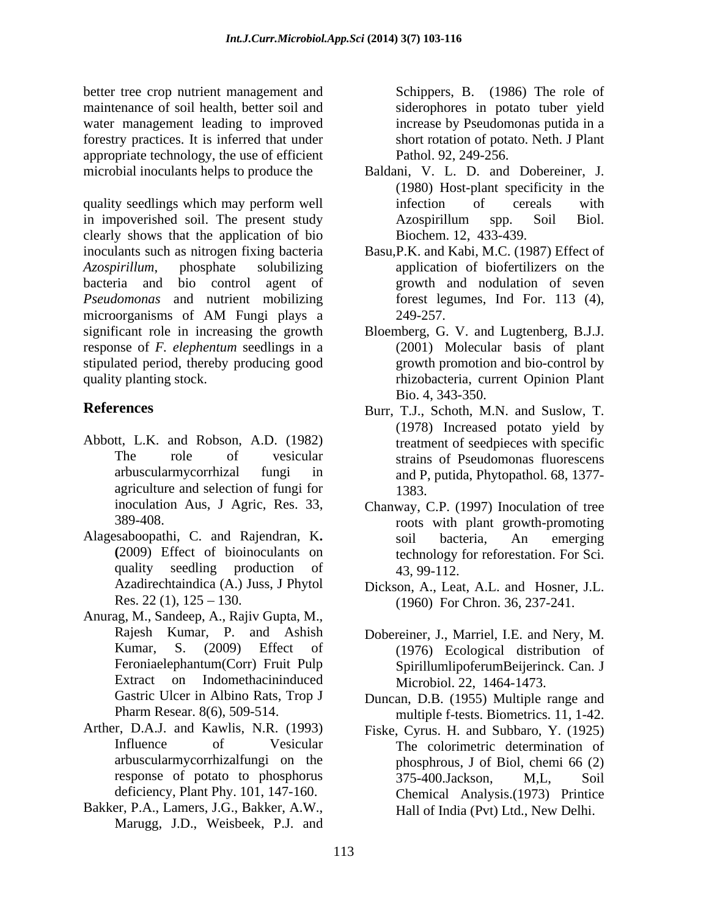better tree crop nutrient management and maintenance of soil health, better soil and water management leading to improved forestry practices. It is inferred that under appropriate technology, the use of efficient

quality seedlings which may perform well infection of cereals with in impoverished soil. The present study Azospirillum spp. Soil Biol. clearly shows that the application of bio inoculants such as nitrogen fixing bacteria Basu,P.K. and Kabi, M.C. (1987) Effect of Azospirillum, phosphate solubilizing application of biofertilizers on the bacteria and bio control agent of growth and nodulation of seven *Pseudomonas* and nutrient mobilizing microorganisms of AM Fungi plays a significant role in increasing the growth Bloemberg, G. V. and Lugtenberg, B.J.J. response of *F. elephentum* seedlings in a stipulated period, thereby producing good quality planting stock. rhizobacteria, current Opinion Plant

- Abbott, L.K. and Robson, A.D. (1982) agriculture and selection of fungi for 1383.
- Alagesaboopathi, C. and Rajendran, K. soil bacteria, An emerging (2009) Effect of bioinoculants on technology for reforestation. For Sci.
- Anurag, M., Sandeep, A., Rajiv Gupta, M., Feroniaelephantum(Corr) Fruit Pulp Extract on Indomethacininduced
- 
- Bakker, P.A., Lamers, J.G., Bakker, A.W., Marugg, J.D., Weisbeek, P.J. and

Schippers, B. (1986) The role of siderophores in potato tuber yield increase by Pseudomonas putida in a short rotation of potato. Neth. J Plant Pathol. 92, 249-256.

- microbial inoculants helps to produce the Baldani, V. L. D. and Dobereiner, J. (1980) Host-plant specificity in the infection of cereals with Azospirillum spp. Soil Biol. Biochem. 12, 433-439.
	- forest legumes, Ind For. 113 (4), 249-257.
	- (2001) Molecular basis of plant growth promotion and bio-control by Bio. 4, 343-350.
- **References** Burr, T.J., Schoth, M.N. and Suslow, T. The role of vesicular strains of Pseudomonas fluorescens arbuscularmycorrhizal fungi in and P, putida, Phytopathol. 68, 1377- (1978) Increased potato yield by treatment of seedpieces with specific 1383.
	- inoculation Aus, J Agric, Res. 33, Chanway, C.P. (1997) Inoculation of tree 389-408. roots with plant growth-promoting quality seedling production of 43, 99-112. soil bacteria, An emerging technology for reforestation. For Sci. 43, 99-112.
	- Azadirechtaindica (A.) Juss, J Phytol Dickson, A., Leat, A.L. and Hosner, J.L. Res. 22 (1), 125 – 130. (1960) For Chron. 36, 237-241.
	- Rajesh Kumar, P. and Ashish Dobereiner, J., Marriel, I.E. and Nery, M. Kumar, S. (2009) Effect of (1976) Ecological distribution of SpirillumlipoferumBeijerinck. Can. J Microbiol. 22, 1464-1473.
	- Gastric Ulcer in Albino Rats, Trop J Duncan, D.B. (1955) Multiple range and Pharm Resear. 8(6), 509-514. multiple f-tests. Biometrics. 11, 1-42.
- Arther, D.A.J. and Kawlis, N.R. (1993) Fiske, Cyrus. H. and Subbaro, Y. (1925) Influence of Vesicular The colorimetric determination of arbuscularmycorrhizalfungi on the phosphrous, J of Biol, chemi 66 (2) response of potato to phosphorus 375-400. Jackson, M.L. Soil deficiency, Plant Phy. 101, 147-160. Chemical Analysis.(1973) Printice 375-400.Jackson, M,L, Soil Hall of India (Pvt) Ltd., New Delhi.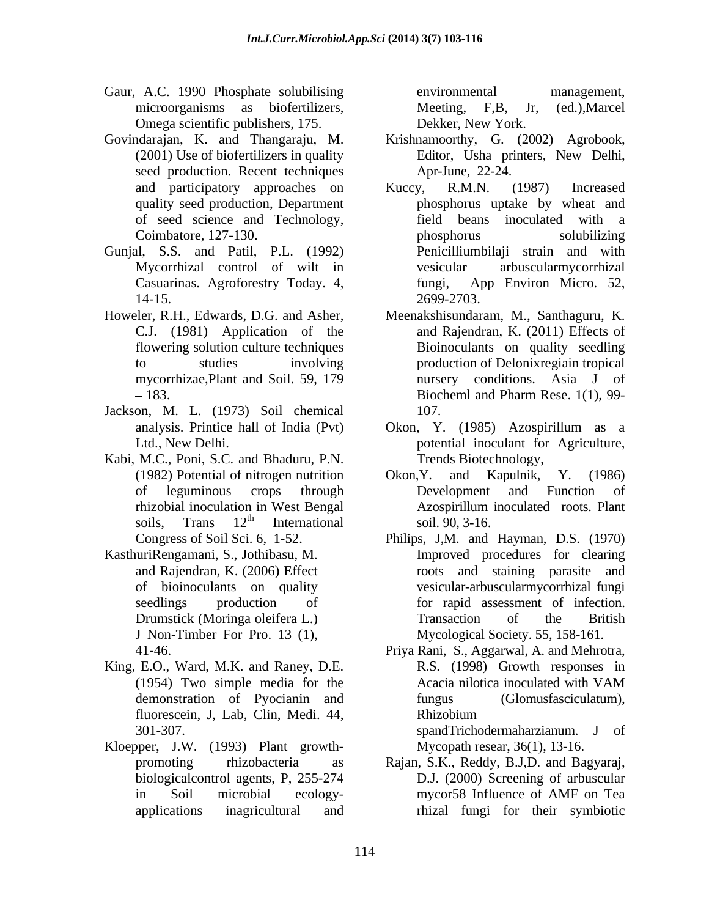- Gaur, A.C. 1990 Phosphate solubilising environmental management, microorganisms as biofertilizers, Meeting, F,B, Jr, (ed.), Marcel Omega scientific publishers, 175.
- seed production. Recent techniques of seed science and Technology,
- Gunjal, S.S. and Patil, P.L. (1992) Mycorrhizal control of wilt in
- mycorrhizae,Plant and Soil. 59, 179
- Jackson, M. L. (1973) Soil chemical
- Kabi, M.C., Poni, S.C. and Bhaduru, P.N.
- KasthuriRengamani, S., Jothibasu, M.
- King, E.O., Ward, M.K. and Raney, D.E. demonstration of Pyocianin and fluorescein, J, Lab, Clin, Medi. 44,
- Kloepper, J.W. (1993) Plant growth biologicalcontrol agents, P, 255-274

environmental management, Meeting, F,B, Jr, (ed.),Marcel Dekker, New York.

- Govindarajan, K. and Thangaraju, M. Krishnamoorthy, G. (2002) Agrobook, (2001) Use of biofertilizers in quality Editor, Usha printers, New Delhi, Editor, Usha printers, New Delhi, Apr-June, 22-24.
	- and participatory approaches on Kuccy, R.M.N. (1987) Increased quality seed production, Department phosphorus uptake by wheat and Coimbatore, 127-130. Casuarinas. Agroforestry Today. 4, fungi, App Environ Micro. 52, 14-15. 2699-2703. Kuccy, R.M.N. (1987) Increased field beans inoculated with a phosphorus solubilizing Penicilliumbilaji strain and with arbuscularmycorrhizal fungi, App Environ Micro. 52, 2699-2703.
- Howeler, R.H., Edwards, D.G. and Asher, Meenakshisundaram, M., Santhaguru, K. C.J. (1981) Application of the and Rajendran, K. (2011) Effects of flowering solution culture techniques Bioinoculants on quality seedling to studies involving production of Delonixregiain tropical -183. Biocheml and Pharm Rese. 1(1), 99nursery conditions. Asia J of Biocheml and Pharm Rese. 1(1), 99- 107.
	- analysis. Printice hall of India (Pvt) Okon, Y. (1985) Azospirillum as a Ltd., New Delhi. potential inoculant for Agriculture, Trends Biotechnology,
	- (1982) Potential of nitrogen nutrition of leguminous crops through rhizobial inoculation in West Bengal Azospirillum inoculated roots. Plant soils. Trans 12<sup>th</sup> International soil 90, 3-16. soils, Trans  $12<sup>th</sup>$  International soil. 90, 3-16.  $\mu$  International soil. 90, 3-16. Okon,Y. and Kapulnik, Y. (1986) Development and Function of Azospirillum inoculated roots. Plant soil. 90, 3-16.
	- Congress of Soil Sci. 6, 1-52. Philips, J,M. and Hayman, D.S. (1970) and Rajendran, K. (2006) Effect roots and staining parasite and of bioinoculants on quality vesicular-arbuscularmycorrhizal fungi seedlings production of for rapid assessment of infection. Drumstick (Moringa oleifera L.) Transaction of the British J Non-Timber For Pro. 13 (1), Mycological Society. 55, 158-161. Improved procedures for clearing Transaction of the British
	- 41-46. Priya Rani, S., Aggarwal, A. and Mehrotra, (1954) Two simple media for the R.S. (1998) Growth responses in Acacia nilotica inoculated with VAM (Glomusfasciculatum), Rhizobium

301-307. spandTrichodermaharzianum. J of Mycopath resear, 36(1), 13-16.

promoting rhizobacteria as Rajan, S.K., Reddy, B.J,D. and Bagyaraj, in Soil microbial ecology- mycor58 Influence of AMF on Tea applications inagricultural and rhizal fungi for their symbioticD.J. (2000) Screening of arbuscular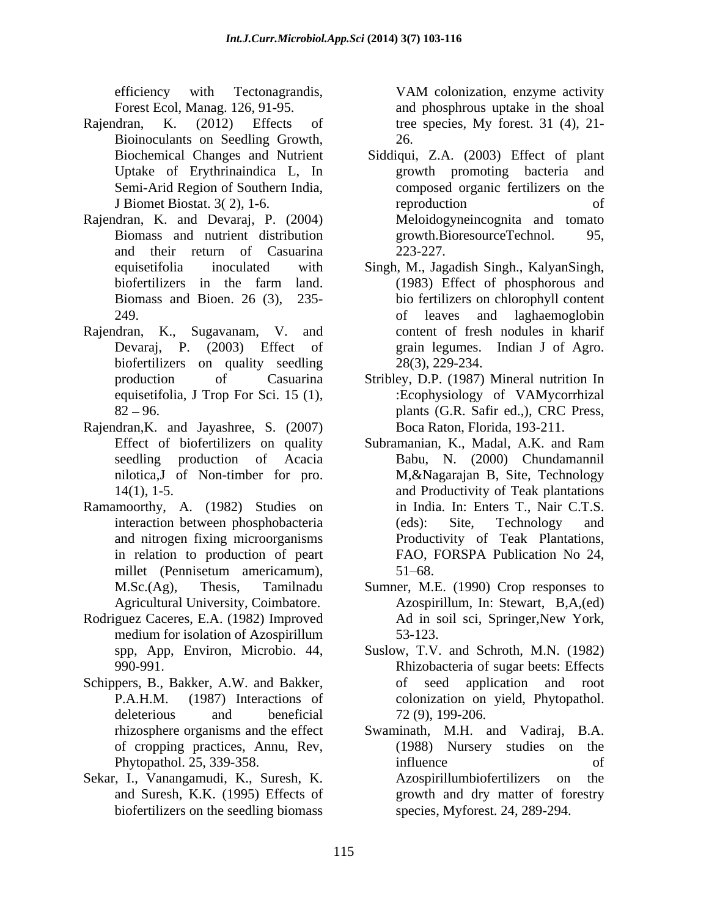efficiency with Tectonagrandis, VAM colonization, enzyme activity

- Rajendran, K. (2012) Effects of tree species, My forest. 31 (4), 21- Bioinoculants on Seedling Growth,
- Rajendran, K. and Devaraj, P. (2004) and their return of Casuarina
- Rajendran, K., Sugavanam, V. and content of fresh nodules in kharif biofertilizers on quality seedling
- Rajendran,K. and Jayashree, S. (2007) seedling production of Acacia
- Ramamoorthy, A. (1982) Studies on
- Rodriguez Caceres, E.A. (1982) Improved Ad in soil sci, Springer, New York, medium for isolation of Azospirillum 53-123.
- Schippers, B., Bakker, A.W. and Bakker, of
- Sekar, I., Vanangamudi, K., Suresh, K. biofertilizers on the seedling biomass

Forest Ecol, Manag. 126, 91-95. and phosphrous uptake in the shoal VAM colonization, enzyme activity 26.

- Biochemical Changes and Nutrient Siddiqui, Z.A. (2003) Effect of plant Uptake of Erythrinaindica L, In growth promoting bacteria and Semi-Arid Region of Southern India, composed organic fertilizers on the J Biomet Biostat. 3( 2), 1-6. Biomass and nutrient distribution growth.BioresourceTechnol. 95, reproduction of Meloidogyneincognita and tomato growth.BioresourceTechnol. 95, 223-227.
- equisetifolia inoculated with Singh, M., Jagadish Singh., KalyanSingh, biofertilizers in the farm land. (1983) Effect of phosphorous and Biomass and Bioen. 26 (3), 235- bio fertilizers on chlorophyll content 249. of leaves and laghaemoglobin Devaraj, P. (2003) Effect of grain legumes. Indian J of Agro. (1983) Effect of phosphorous and 28(3), 229-234.
- production of Casuarina Stribley, D.P. (1987) Mineral nutrition In equisetifolia, J Trop For Sci. 15 (1),  $\qquad \qquad$ :Ecophysiology of VAMycorrhizal 82 96. plants (G.R. Safir ed.,), CRC Press, Boca Raton, Florida, 193-211.
- Effect of biofertilizers on quality Subramanian, K., Madal, A.K. and Ram nilotica,J of Non-timber for pro. M,&Nagarajan B, Site, Technology 14(1), 1-5. and Productivity of Teak plantations interaction between phosphobacteria (eds): Site, Technology and and nitrogen fixing microorganisms Productivity of Teak Plantations, in relation to production of peart FAO, FORSPA Publication No 24, millet (Pennisetum americamum), Babu, N. (2000) Chundamannil in India. In: Enters T., Nair C.T.S. (eds): Site, Technology and FAO, FORSPA Publication No 24,<br>51–68.
- M.Sc.(Ag), Thesis, Tamilnadu Sumner, M.E. (1990) Crop responses to Agricultural University, Coimbatore. Azospirillum, In: Stewart, B,A,(ed) Ad in soil sci, Springer,New York, 53-123.
- spp, App, Environ, Microbio. 44, Suslow, T.V. and Schroth, M.N. (1982) 990-991. Rhizobacteria of sugar beets: Effects P.A.H.M. (1987) Interactions of colonization on yield, Phytopathol. deleterious and beneficial  $72(9)$ , 199-206. seed application and root 72 (9), 199-206.
- rhizosphere organisms and the effect Swaminath, M.H. and Vadiraj, B.A. of cropping practices, Annu, Rev, Phytopathol. 25, 339-358. The influence of of and Suresh, K.K. (1995) Effects of growth and dry matter of forestry  $(1988)$  Nursery studies on influence of Azospirillumbiofertilizers on the species, Myforest. 24, 289-294.